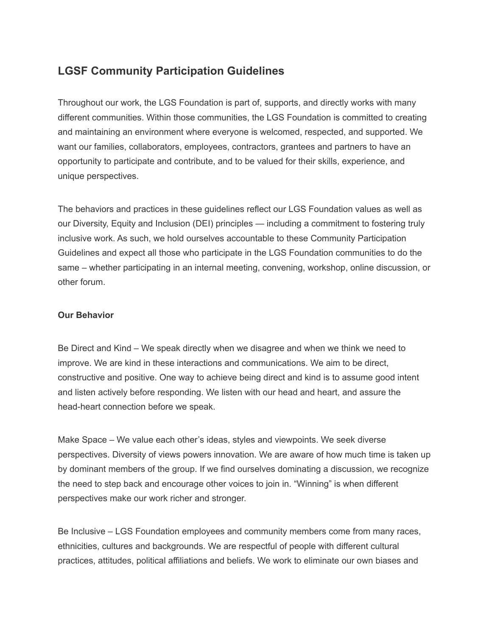# **LGSF Community Participation Guidelines**

Throughout our work, the LGS Foundation is part of, supports, and directly works with many different communities. Within those communities, the LGS Foundation is committed to creating and maintaining an environment where everyone is welcomed, respected, and supported. We want our families, collaborators, employees, contractors, grantees and partners to have an opportunity to participate and contribute, and to be valued for their skills, experience, and unique perspectives.

The behaviors and practices in these guidelines reflect our LGS Foundation values as well as our Diversity, Equity and Inclusion (DEI) principles — including a commitment to fostering truly inclusive work. As such, we hold ourselves accountable to these Community Participation Guidelines and expect all those who participate in the LGS Foundation communities to do the same – whether participating in an internal meeting, convening, workshop, online discussion, or other forum.

#### **Our Behavior**

Be Direct and Kind – We speak directly when we disagree and when we think we need to improve. We are kind in these interactions and communications. We aim to be direct, constructive and positive. One way to achieve being direct and kind is to assume good intent and listen actively before responding. We listen with our head and heart, and assure the head-heart connection before we speak.

Make Space – We value each other's ideas, styles and viewpoints. We seek diverse perspectives. Diversity of views powers innovation. We are aware of how much time is taken up by dominant members of the group. If we find ourselves dominating a discussion, we recognize the need to step back and encourage other voices to join in. "Winning" is when different perspectives make our work richer and stronger.

Be Inclusive – LGS Foundation employees and community members come from many races, ethnicities, cultures and backgrounds. We are respectful of people with different cultural practices, attitudes, political affiliations and beliefs. We work to eliminate our own biases and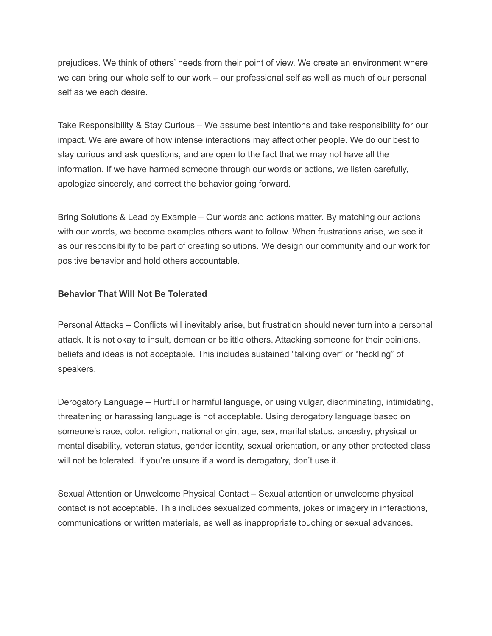prejudices. We think of others' needs from their point of view. We create an environment where we can bring our whole self to our work – our professional self as well as much of our personal self as we each desire.

Take Responsibility & Stay Curious – We assume best intentions and take responsibility for our impact. We are aware of how intense interactions may affect other people. We do our best to stay curious and ask questions, and are open to the fact that we may not have all the information. If we have harmed someone through our words or actions, we listen carefully, apologize sincerely, and correct the behavior going forward.

Bring Solutions & Lead by Example – Our words and actions matter. By matching our actions with our words, we become examples others want to follow. When frustrations arise, we see it as our responsibility to be part of creating solutions. We design our community and our work for positive behavior and hold others accountable.

## **Behavior That Will Not Be Tolerated**

Personal Attacks – Conflicts will inevitably arise, but frustration should never turn into a personal attack. It is not okay to insult, demean or belittle others. Attacking someone for their opinions, beliefs and ideas is not acceptable. This includes sustained "talking over" or "heckling" of speakers.

Derogatory Language – Hurtful or harmful language, or using vulgar, discriminating, intimidating, threatening or harassing language is not acceptable. Using derogatory language based on someone's race, color, religion, national origin, age, sex, marital status, ancestry, physical or mental disability, veteran status, gender identity, sexual orientation, or any other protected class will not be tolerated. If you're unsure if a word is derogatory, don't use it.

Sexual Attention or Unwelcome Physical Contact – Sexual attention or unwelcome physical contact is not acceptable. This includes sexualized comments, jokes or imagery in interactions, communications or written materials, as well as inappropriate touching or sexual advances.